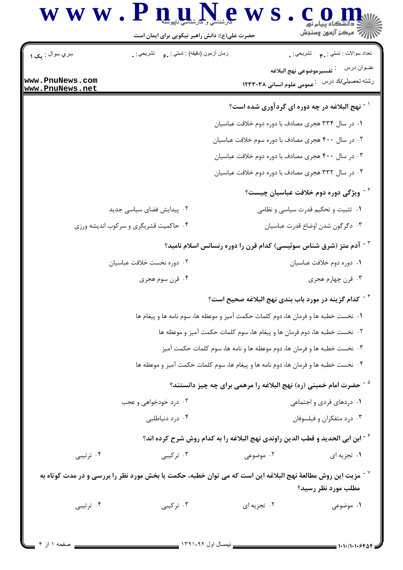

حضرت علی(ع): دانش راهبر نیکویی برای ایمان است نعداد سوالات : نستي : ٣**.** نشريحي : . سري سوال : مک ۱ زمان أزمون (دقيقه) : تستي : ¸。 تشريحي : ¸ رشته تحصیلي/کد درس ۔ عمومی علوم انسانی ۱۲۳۳۰۳۸ www.PnuNews.com www.PnuNews.net <sup>۱ -</sup> نهج البلاغه در چه دوره ای گردآوری شده است؟ ۰۱ در سال ۳۳۴ هجری مصادف با دوره دوم خلافت عباسیان ۰۲ در سال ۴۰۰ هجری مصادف با دوره سوم خلافت عباسیان ۰۳ در سال ۴۰۰ هجری مصادف با دوره دوم خلافت عباسیان ۰۴ در سال ۳۳۲ هجری مصادف با دوره دوم خلافت عباسیان <sup>۲ -</sup> ویژگی دوره دوم خلافت عباسیان چیست؟ ۰۲ پیدایش فضای سیاسی جدید ۰۱ تثبیت و تحکیم قدرت سیاسی و نظامی ۰۴ حاکمیت قشریگری و سرکوب اندیشه ورزی ۰۳ دگرگون شدن اوضاع قدرت عباسیان <sup>۳ -</sup> آدم متز (شرق شناس سوئیسی) کدام قرن را دوره رنسانس اسلام نامید؟ ٠٢ دوره نخست خلافت عباسيان ٠١ دوره دوم خلافت عباسيان ۰۴ قرن سوم هجري ۰۳ قرن چهارم هجری <sup>۴ -</sup> كدام گزینه در مورد باب بندی نهج البلاغه صحیح است؟ ٢٠ نخست خطبه ها، دوم فرمان ها و پیغام ها، سوم كلمات حكمت آميز و موعظه ها ۰۳ نخست خطبه ها و فرمان ها، دوم موعظه ها و نامه ها، سوم کلمات حکمت آمیز ۰۴ نخست خطبه ها و فرمان ها، دوم نامه ها و پیغام ها، سوم کلمات حکمت آمیز و موعظه ها <sup>۵ -</sup> حضرت امام خمینی (ره) نهج البلاغه را مرهمی برای چه چیز دانستند؟ ۰۱ دردهای فردی و اجتماعی ۰۲ درد خودخواهی و عجب ۰۴ درد دنیاطلبی ۰۳ درد متفکران و فیلسوفان <sup>۶</sup> - ابن ابی الحدید و قطب الدین راوندی نهج البلاغه را به کدام روش شرح کرده اند؟ ۰۴ ترتیبی ۰۳ ترکیبی ۰۲ موضوعی ۰۱ تجزیه ای د آمزیت این روش مطالعهٔ نهج البلاغه این است که می توان خطبه، حکمت یا بخش مورد نظر را بررسی و در مدت کوتاه به  $^{\vee}$ مطلب مورد نظر رسید؟ ۰۴ ترتیبی ۰۳ تر کیبی ۰۲ تجزیه ای ۰۱ موضوعی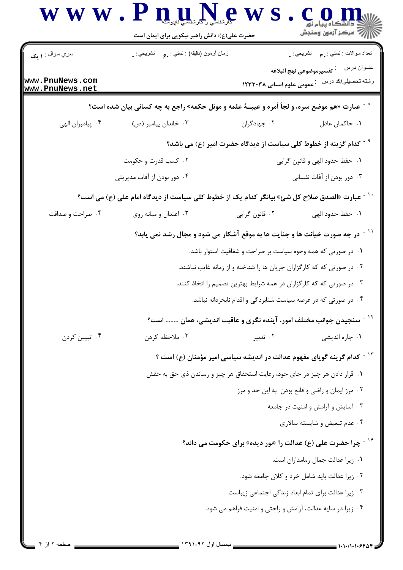|                                    | حضرت علی(ع): دانش راهبر نیکویی برای ایمان است                                                            |                                | است کے ساتھ ہے۔<br>استعمال کے انہوں وسنجش                                                              |  |
|------------------------------------|----------------------------------------------------------------------------------------------------------|--------------------------------|--------------------------------------------------------------------------------------------------------|--|
| سري سوال : ۱ يک                    | زمان أزمون (دقيقه) : تستي : ¸ع       تشريحي : ¸                                                          |                                | تعداد سوالات : تستبي : ٣ <b>. س</b> تشريحي : .                                                         |  |
| www.PnuNews.com<br>www.PnuNews.net |                                                                                                          |                                | عنــوان درس<br><sup>:</sup> تفسيرموضوعي نهج البلاغه<br>رشته تحصیلي/کد درس۔ : عمومی علوم انسانی ۱۲۳۳۰۳۸ |  |
|                                    | ^ <sup>-</sup> عبارت «هم موضع سره، و لجأ أمره و عيبــهٔ علمه و موئل حکمه» راجع به چه کسانی بیان شده است؟ |                                |                                                                                                        |  |
| ۰۴ پیامبران الهی                   | ۰۳ خاندان پیامبر (ص)                                                                                     | ٠٢ جهادگران                    | ٠١. حاكمان عادل                                                                                        |  |
|                                    |                                                                                                          |                                | <sup>9 -</sup> كدام گزينه از خطوط كلى سياست از ديدگاه حضرت امير (ع) مى باشد؟                           |  |
|                                    | ۰۲ کسب قدرت و حکومت                                                                                      | ۰۱ حفظ حدود الهي و قانون گرايي |                                                                                                        |  |
|                                    | ۰۴ دور بودن از آفات مدیریتی                                                                              |                                | ۰۳ دور بودن از آفات نفسانی                                                                             |  |
|                                    | <sup>\ -</sup> عبارت «الصدق صلاح كل شئ» بيانگر كدام يک از خطوط کلی سياست از ديدگاه امام علی (ع) می است؟  |                                |                                                                                                        |  |
| ۰۴ صراحت و صداقت                   | ۰۳ اعتدال و میانه روی                                                                                    | ۰۲ قانون گرايي                 | ٠١. حفظ حدود الهي                                                                                      |  |
|                                    | <sup>۱۱ -</sup> در چه صورت خیانت ها و جنایت ها به موقع آشکار می شود و مجال رشد نمی یابد؟                 |                                |                                                                                                        |  |
|                                    | ۰۱ در صورتی که همه وجوه سیاست بر صراحت و شفافیت استوار باشد.                                             |                                |                                                                                                        |  |
|                                    | ۰۲ در صورتی که که کارگزاران جریان ها را شناخته و از زمانه غایب نباشند.                                   |                                |                                                                                                        |  |
|                                    | ۰۳ در صورتی که که کارگزاران در همه شرایط بهترین تصمیم را اتخاذ کنند.                                     |                                |                                                                                                        |  |
|                                    | ۰۴ در صورتی که در عرصه سیاست شتابزدگی و اقدام نابخردانه نباشد.                                           |                                |                                                                                                        |  |
|                                    | <sup>۱۲ -</sup> سنجیدن جوانب مختلف امور، آینده نگری و عاقبت اندیشی، همان  است؟                           |                                |                                                                                                        |  |
| ۰۴ تبيين كردن                      | ۰۳ ملاحظه کردن                                                                                           | ۰۲ تدبیر                       | ۰۱ چاره اندیشی                                                                                         |  |
|                                    | <sup>۱۳ -</sup> کدام گزینه گویای مفهوم عدالت در اندیشه سیاسی امیر مؤمنان (ع) است ؟                       |                                |                                                                                                        |  |
|                                    | ۰۱ قرار دادن هر چیز در جای خود، رعایت استحقاق هر چیز و رساندن ذی حق به حقش                               |                                |                                                                                                        |  |
|                                    | ۰۲ مرز ایمان و راضی و قانع بودن به این حد و مرز                                                          |                                |                                                                                                        |  |
|                                    | ۰۳ آسایش و آرامش و امنیت در جامعه                                                                        |                                |                                                                                                        |  |
|                                    | ۰۴ عدم تبعیض و شایسته سالاری                                                                             |                                |                                                                                                        |  |
|                                    | <sup>۱۴ -</sup> چرا حضرت علی (ع) عدالت را «نور دیده» برای حکومت می داند؟                                 |                                |                                                                                                        |  |
|                                    | ٠١ زيرا عدالت جمال زمامداران است.                                                                        |                                |                                                                                                        |  |
|                                    | ٠٢ زيرا عدالت بايد شامل خرد و كلان جامعه شود.                                                            |                                |                                                                                                        |  |
|                                    | ٠٣ زيرا عدالت براي تمام ابعاد زندگي اجتماعي زيباست.                                                      |                                |                                                                                                        |  |
|                                    |                                                                                                          |                                | ۰۴ زیرا در سایه عدالت، آرامش و راحتی و امنیت فراهم می شود.                                             |  |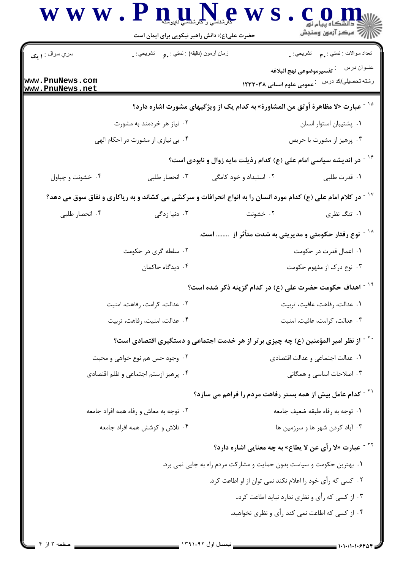|                                    | $\bf W \bf W \bullet \bf P \bf n$ and $\bf N \bullet \bf S$<br>حضرت علی(ع): دانش راهبر نیکویی برای ایمان است |                                                                                                                            | أأآت مركز آزمون وسنجش                                                                        |
|------------------------------------|--------------------------------------------------------------------------------------------------------------|----------------------------------------------------------------------------------------------------------------------------|----------------------------------------------------------------------------------------------|
| سري سوال : <b>۱ يک</b>             | زمان أزمون (دقيقه) : تستي : و مستشريحي : .                                                                   |                                                                                                                            | تعداد سوالات : تستي : پم       تشريحي : .                                                    |
| www.PnuNews.com<br>www.PnuNews.net |                                                                                                              |                                                                                                                            | عنــوان درس<br>فتفسيرموضوعي نهج البلاغه أ<br>رشته تحصیلي/کد درس۔ : عمومی علوم انسانی ۱۲۳۳۰۳۸ |
|                                    |                                                                                                              | <sup>۱۵ -</sup> عبارت «لا مظاهرة أوثق من المشاورة» به كدام یک از ویژگیهای مشورت اشاره دارد؟                                |                                                                                              |
|                                    | ۰۲ نیاز هر خردمند به مشورت                                                                                   |                                                                                                                            | ٠١. پشتيبان استوار انسان                                                                     |
|                                    | ۰۴ بی نیازی از مشورت در احکام الهی                                                                           |                                                                                                                            | ۰۳ پرهيز از مشورت با حريص                                                                    |
|                                    |                                                                                                              | <sup>۱۶ -</sup> در اندیشه سیاسی امام علی (ع) کدام رذیلت مایه زوال و نابودی است؟                                            |                                                                                              |
| ۰۴ خشونت و چپاول                   | ۰۳ انحصار طلبی                                                                                               | ۰۲ استبداد و خود کامگی                                                                                                     | ٠١. قدرت طلبي                                                                                |
|                                    |                                                                                                              | <sup>۱۷ -</sup> در کلام امام علی (ع) کدام مورد انسان را به انواع انحرافات و سرکشی می کشاند و به ریاکاری و نفاق سوق می دهد؟ |                                                                                              |
| ۰۴ انحصار طلبی                     | ۰۳ دنیا زدگی                                                                                                 | ۰۲ خشونت                                                                                                                   | ۰۱ تنگ نظری                                                                                  |
|                                    |                                                                                                              | <sup>۱۱ -</sup> نوع رفتار حکومتی و مدیریتی به شدت متأثر از   است.                                                          |                                                                                              |
|                                    | ۰۲ سلطه گری در حکومت                                                                                         |                                                                                                                            | ۰۱ اعمال قدرت در حکومت                                                                       |
|                                    | ۰۴ دیدگاه حاکمان                                                                                             |                                                                                                                            | ۰۳ نوع درک از مفهوم حکومت                                                                    |
|                                    |                                                                                                              | <sup>۱۰ -</sup> اهداف حکومت حضرت علی (ع) در کدام گزینه ذکر شده است؟                                                        |                                                                                              |
| ۰۲ عدالت، کرامت، رفاهت، امنیت      |                                                                                                              | ٠١ عدالت، رفاهت، عافيت، تربيت                                                                                              |                                                                                              |
|                                    | ۰۴ عدالت، امنيت، رفاهت، تربيت                                                                                |                                                                                                                            | ٠٣ عدالت، كرامت، عافيت، امنيت                                                                |
|                                    |                                                                                                              | `` - از نظر امیر المؤمنین (ع) چه چیزی برتر از هر خدمت اجتماعی و دستگیری اقتصادی است؟                                       |                                                                                              |
|                                    | ۰۲ وجود حس هم نوع خواهی و محبت                                                                               |                                                                                                                            | ٠١ عدالت اجتماعي و عدالت اقتصادي                                                             |
|                                    | ۰۴ پرهيز ازستم اجتماعي و ظلم اقتصادي                                                                         |                                                                                                                            | ۰۳ اصلاحات اساسی و همگانی                                                                    |
|                                    |                                                                                                              | <sup>۲۱ -</sup> کدام عامل بیش از همه بستر رفاهت مردم را فراهم می سازد؟                                                     |                                                                                              |
|                                    | ۲. توجه به معاش و رفاه همه افراد جامعه                                                                       |                                                                                                                            | ٠١ توجه به رفاه طبقه ضعيف جامعه                                                              |
|                                    | ۰۴ تلاش و کوشش همه افراد جامعه                                                                               |                                                                                                                            | ۰۳ آباد کردن شهر ها و سرزمین ها                                                              |
|                                    |                                                                                                              |                                                                                                                            | <sup>۲۲ -</sup> عبارت «لا رأى عن لا يطاع» به چه معنايي اشاره دارد؟                           |
|                                    |                                                                                                              | ۰۱ بهترین حکومت و سیاست بدون حمایت و مشارکت مردم راه به جایی نمی برد.                                                      |                                                                                              |
|                                    |                                                                                                              | ۰۲ کسی که رأی خود را اعلام نکند نمی توان از او اطاعت کرد.                                                                  |                                                                                              |
|                                    |                                                                                                              |                                                                                                                            | ۰۳ از کسی که رأی و نظری ندارد نباید اطاعت کرد.                                               |
|                                    |                                                                                                              |                                                                                                                            | ۰۴ از کسی که اطاعت نمی کند رأی و نظری نخواهید.                                               |
|                                    |                                                                                                              |                                                                                                                            |                                                                                              |

Ĭ.